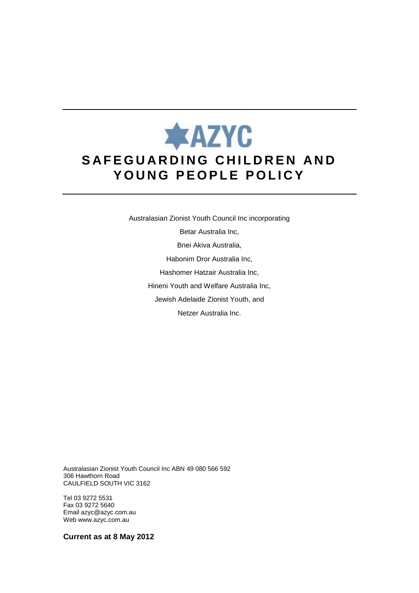# **\*AZYC SAFEGUARDING CHILDREN AND** YOUNG PEOPLE POLICY

Australasian Zionist Youth Council Inc incorporating Betar Australia Inc, Bnei Akiva Australia, Habonim Dror Australia Inc, Hashomer Hatzair Australia Inc, Hineni Youth and Welfare Australia Inc, Jewish Adelaide Zionist Youth, and Netzer Australia Inc.

Australasian Zionist Youth Council Inc ABN 49 080 566 592 306 Hawthorn Road CAULFIELD SOUTH VIC 3162

Tel 03 9272 5531 Fax 03 9272 5640 Email azyc@azyc.com.au Web www.azyc.com.au

**Current as at 8 May 2012**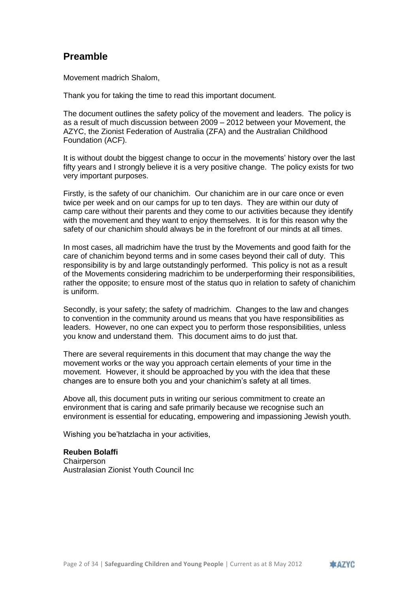# **Preamble**

Movement madrich Shalom,

Thank you for taking the time to read this important document.

The document outlines the safety policy of the movement and leaders. The policy is as a result of much discussion between 2009 – 2012 between your Movement, the AZYC, the Zionist Federation of Australia (ZFA) and the Australian Childhood Foundation (ACF).

It is without doubt the biggest change to occur in the movements' history over the last fifty years and I strongly believe it is a very positive change. The policy exists for two very important purposes.

Firstly, is the safety of our chanichim. Our chanichim are in our care once or even twice per week and on our camps for up to ten days. They are within our duty of camp care without their parents and they come to our activities because they identify with the movement and they want to enjoy themselves. It is for this reason why the safety of our chanichim should always be in the forefront of our minds at all times.

In most cases, all madrichim have the trust by the Movements and good faith for the care of chanichim beyond terms and in some cases beyond their call of duty. This responsibility is by and large outstandingly performed. This policy is not as a result of the Movements considering madrichim to be underperforming their responsibilities, rather the opposite; to ensure most of the status quo in relation to safety of chanichim is uniform.

Secondly, is your safety; the safety of madrichim. Changes to the law and changes to convention in the community around us means that you have responsibilities as leaders. However, no one can expect you to perform those responsibilities, unless you know and understand them. This document aims to do just that.

There are several requirements in this document that may change the way the movement works or the way you approach certain elements of your time in the movement. However, it should be approached by you with the idea that these changes are to ensure both you and your chanichim's safety at all times.

Above all, this document puts in writing our serious commitment to create an environment that is caring and safe primarily because we recognise such an environment is essential for educating, empowering and impassioning Jewish youth.

Wishing you be'hatzlacha in your activities,

#### **Reuben Bolaffi**

**Chairperson** Australasian Zionist Youth Council Inc

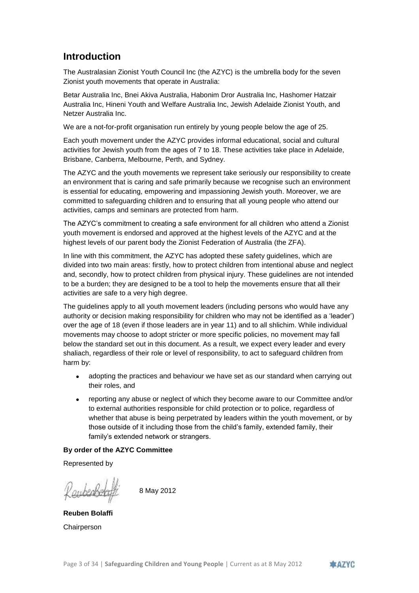# **Introduction**

The Australasian Zionist Youth Council Inc (the AZYC) is the umbrella body for the seven Zionist youth movements that operate in Australia:

Betar Australia Inc, Bnei Akiva Australia, Habonim Dror Australia Inc, Hashomer Hatzair Australia Inc, Hineni Youth and Welfare Australia Inc, Jewish Adelaide Zionist Youth, and Netzer Australia Inc.

We are a not-for-profit organisation run entirely by young people below the age of 25.

Each youth movement under the AZYC provides informal educational, social and cultural activities for Jewish youth from the ages of 7 to 18. These activities take place in Adelaide, Brisbane, Canberra, Melbourne, Perth, and Sydney.

The AZYC and the youth movements we represent take seriously our responsibility to create an environment that is caring and safe primarily because we recognise such an environment is essential for educating, empowering and impassioning Jewish youth. Moreover, we are committed to safeguarding children and to ensuring that all young people who attend our activities, camps and seminars are protected from harm.

The AZYC's commitment to creating a safe environment for all children who attend a Zionist youth movement is endorsed and approved at the highest levels of the AZYC and at the highest levels of our parent body the Zionist Federation of Australia (the ZFA).

In line with this commitment, the AZYC has adopted these safety guidelines, which are divided into two main areas: firstly, how to protect children from intentional abuse and neglect and, secondly, how to protect children from physical injury. These guidelines are not intended to be a burden; they are designed to be a tool to help the movements ensure that all their activities are safe to a very high degree.

The guidelines apply to all youth movement leaders (including persons who would have any authority or decision making responsibility for children who may not be identified as a 'leader') over the age of 18 (even if those leaders are in year 11) and to all shlichim. While individual movements may choose to adopt stricter or more specific policies, no movement may fall below the standard set out in this document. As a result, we expect every leader and every shaliach, regardless of their role or level of responsibility, to act to safeguard children from harm by:

- adopting the practices and behaviour we have set as our standard when carrying out their roles, and
- reporting any abuse or neglect of which they become aware to our Committee and/or to external authorities responsible for child protection or to police, regardless of whether that abuse is being perpetrated by leaders within the youth movement, or by those outside of it including those from the child's family, extended family, their family's extended network or strangers.

#### **By order of the AZYC Committee**

Represented by

8 May 2012

**Reuben Bolaffi Chairperson** 

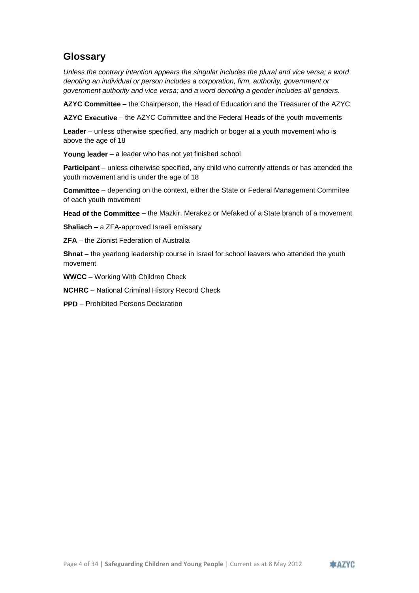# **Glossary**

*Unless the contrary intention appears the singular includes the plural and vice versa; a word denoting an individual or person includes a corporation, firm, authority, government or government authority and vice versa; and a word denoting a gender includes all genders.*

**AZYC Committee** – the Chairperson, the Head of Education and the Treasurer of the AZYC

**AZYC Executive** – the AZYC Committee and the Federal Heads of the youth movements

**Leader** – unless otherwise specified, any madrich or boger at a youth movement who is above the age of 18

**Young leader** – a leader who has not yet finished school

**Participant** – unless otherwise specified, any child who currently attends or has attended the youth movement and is under the age of 18

**Committee** – depending on the context, either the State or Federal Management Commitee of each youth movement

**Head of the Committee** – the Mazkir, Merakez or Mefaked of a State branch of a movement

**Shaliach** – a ZFA-approved Israeli emissary

**ZFA** – the Zionist Federation of Australia

**Shnat** – the yearlong leadership course in Israel for school leavers who attended the youth movement

**WWCC** – Working With Children Check

**NCHRC** – National Criminal History Record Check

**PPD** – Prohibited Persons Declaration

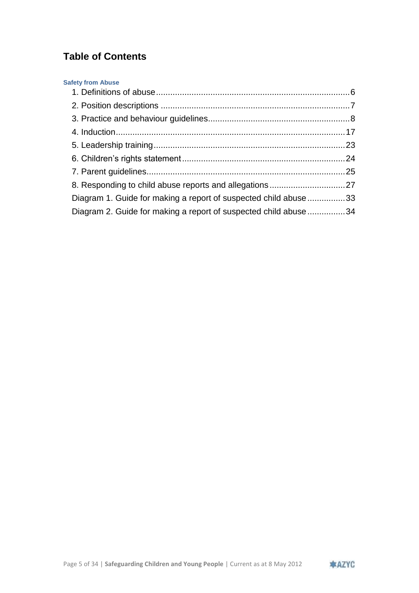# **Table of Contents**

| <b>Safety from Abuse</b>                                         |  |
|------------------------------------------------------------------|--|
|                                                                  |  |
|                                                                  |  |
|                                                                  |  |
|                                                                  |  |
|                                                                  |  |
|                                                                  |  |
|                                                                  |  |
|                                                                  |  |
| Diagram 1. Guide for making a report of suspected child abuse 33 |  |
| Diagram 2. Guide for making a report of suspected child abuse 34 |  |
|                                                                  |  |

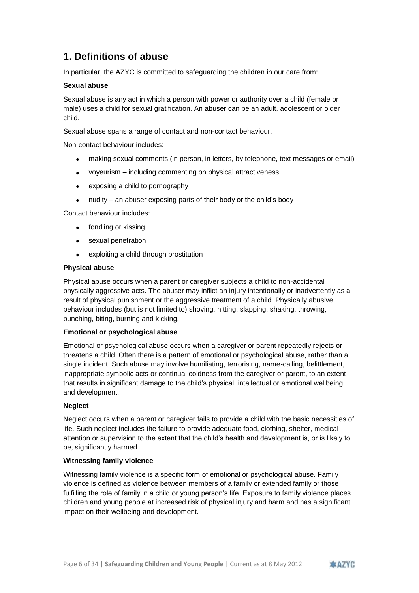# <span id="page-5-0"></span>**1. Definitions of abuse**

In particular, the AZYC is committed to safeguarding the children in our care from:

#### **Sexual abuse**

Sexual abuse is any act in which a person with power or authority over a child (female or male) uses a child for sexual gratification. An abuser can be an adult, adolescent or older child.

Sexual abuse spans a range of contact and non-contact behaviour.

Non-contact behaviour includes:

- making sexual comments (in person, in letters, by telephone, text messages or email)
- voyeurism including commenting on physical attractiveness
- exposing a child to pornography
- nudity an abuser exposing parts of their body or the child's body

Contact behaviour includes:

- fondling or kissing
- sexual penetration
- exploiting a child through prostitution

#### **Physical abuse**

Physical abuse occurs when a parent or caregiver subjects a child to non-accidental physically aggressive acts. The abuser may inflict an injury intentionally or inadvertently as a result of physical punishment or the aggressive treatment of a child. Physically abusive behaviour includes (but is not limited to) shoving, hitting, slapping, shaking, throwing, punching, biting, burning and kicking.

#### **Emotional or psychological abuse**

Emotional or psychological abuse occurs when a caregiver or parent repeatedly rejects or threatens a child. Often there is a pattern of emotional or psychological abuse, rather than a single incident. Such abuse may involve humiliating, terrorising, name-calling, belittlement, inappropriate symbolic acts or continual coldness from the caregiver or parent, to an extent that results in significant damage to the child's physical, intellectual or emotional wellbeing and development.

#### **Neglect**

Neglect occurs when a parent or caregiver fails to provide a child with the basic necessities of life. Such neglect includes the failure to provide adequate food, clothing, shelter, medical attention or supervision to the extent that the child's health and development is, or is likely to be, significantly harmed.

#### **Witnessing family violence**

Witnessing family violence is a specific form of emotional or psychological abuse. Family violence is defined as violence between members of a family or extended family or those fulfilling the role of family in a child or young person's life. Exposure to family violence places children and young people at increased risk of physical injury and harm and has a significant impact on their wellbeing and development.

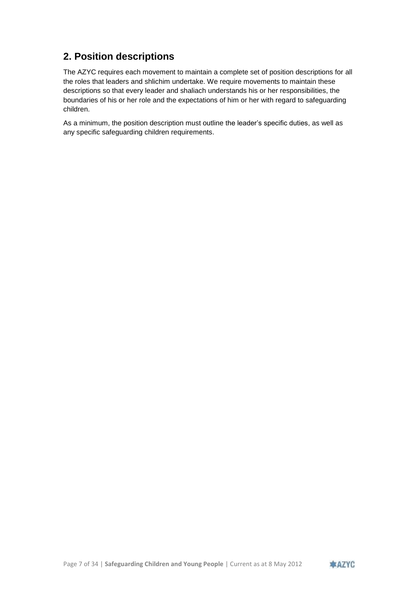# <span id="page-6-0"></span>**2. Position descriptions**

The AZYC requires each movement to maintain a complete set of position descriptions for all the roles that leaders and shlichim undertake. We require movements to maintain these descriptions so that every leader and shaliach understands his or her responsibilities, the boundaries of his or her role and the expectations of him or her with regard to safeguarding children.

As a minimum, the position description must outline the leader's specific duties, as well as any specific safeguarding children requirements.

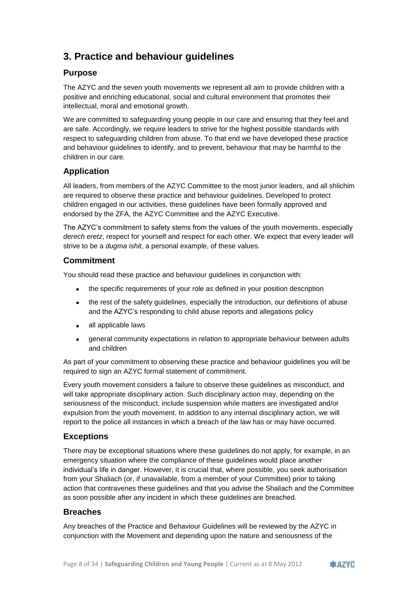# <span id="page-7-0"></span>**3. Practice and behaviour guidelines**

# **Purpose**

The AZYC and the seven youth movements we represent all aim to provide children with a positive and enriching educational, social and cultural environment that promotes their intellectual, moral and emotional growth.

We are committed to safeguarding young people in our care and ensuring that they feel and are safe. Accordingly, we require leaders to strive for the highest possible standards with respect to safeguarding children from abuse. To that end we have developed these practice and behaviour guidelines to identify, and to prevent, behaviour that may be harmful to the children in our care.

# **Application**

All leaders, from members of the AZYC Committee to the most junior leaders, and all shlichim are required to observe these practice and behaviour guidelines. Developed to protect children engaged in our activities, these guidelines have been formally approved and endorsed by the ZFA, the AZYC Committee and the AZYC Executive.

The AZYC's commitment to safety stems from the values of the youth movements, especially *derech eretz*, respect for yourself and respect for each other. We expect that every leader will strive to be a *dugma ishit*, a personal example, of these values.

# **Commitment**

You should read these practice and behaviour guidelines in conjunction with:

- the specific requirements of your role as defined in your position description
- the rest of the safety guidelines, especially the introduction, our definitions of abuse and the AZYC's responding to child abuse reports and allegations policy
- all applicable laws
- general community expectations in relation to appropriate behaviour between adults and children

As part of your commitment to observing these practice and behaviour guidelines you will be required to sign an AZYC formal statement of commitment.

Every youth movement considers a failure to observe these guidelines as misconduct, and will take appropriate disciplinary action. Such disciplinary action may, depending on the seriousness of the misconduct, include suspension while matters are investigated and/or expulsion from the youth movement. In addition to any internal disciplinary action, we will report to the police all instances in which a breach of the law has or may have occurred.

### **Exceptions**

There may be exceptional situations where these guidelines do not apply, for example, in an emergency situation where the compliance of these guidelines would place another individual's life in danger. However, it is crucial that, where possible, you seek authorisation from your Shaliach (or, if unavailable, from a member of your Committee) prior to taking action that contravenes these guidelines and that you advise the Shaliach and the Committee as soon possible after any incident in which these guidelines are breached.

### **Breaches**

Any breaches of the Practice and Behaviour Guidelines will be reviewed by the AZYC in conjunction with the Movement and depending upon the nature and seriousness of the

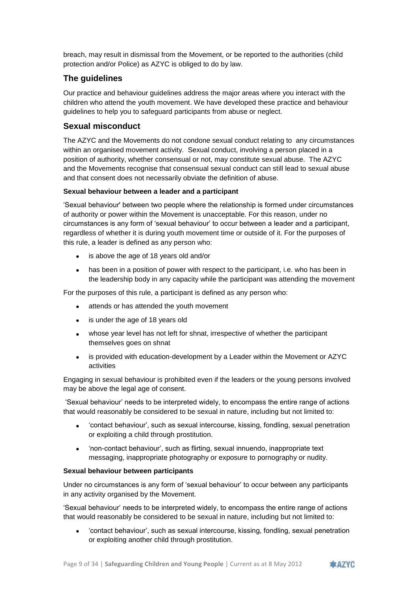breach, may result in dismissal from the Movement, or be reported to the authorities (child protection and/or Police) as AZYC is obliged to do by law.

# **The guidelines**

Our practice and behaviour guidelines address the major areas where you interact with the children who attend the youth movement. We have developed these practice and behaviour guidelines to help you to safeguard participants from abuse or neglect.

# **Sexual misconduct**

The AZYC and the Movements do not condone sexual conduct relating to any circumstances within an organised movement activity. Sexual conduct, involving a person placed in a position of authority, whether consensual or not, may constitute sexual abuse. The AZYC and the Movements recognise that consensual sexual conduct can still lead to sexual abuse and that consent does not necessarily obviate the definition of abuse.

#### **Sexual behaviour between a leader and a participant**

'Sexual behaviour' between two people where the relationship is formed under circumstances of authority or power within the Movement is unacceptable. For this reason, under no circumstances is any form of 'sexual behaviour' to occur between a leader and a participant, regardless of whether it is during youth movement time or outside of it. For the purposes of this rule, a leader is defined as any person who:

- is above the age of 18 years old and/or
- has been in a position of power with respect to the participant, i.e. who has been in the leadership body in any capacity while the participant was attending the movement

For the purposes of this rule, a participant is defined as any person who:

- attends or has attended the youth movement
- is under the age of 18 years old
- whose year level has not left for shnat, irrespective of whether the participant themselves goes on shnat
- is provided with education-development by a Leader within the Movement or AZYC activities

Engaging in sexual behaviour is prohibited even if the leaders or the young persons involved may be above the legal age of consent.

'Sexual behaviour' needs to be interpreted widely, to encompass the entire range of actions that would reasonably be considered to be sexual in nature, including but not limited to:

- 'contact behaviour', such as sexual intercourse, kissing, fondling, sexual penetration or exploiting a child through prostitution.
- 'non-contact behaviour', such as flirting, sexual innuendo, inappropriate text messaging, inappropriate photography or exposure to pornography or nudity.

#### **Sexual behaviour between participants**

Under no circumstances is any form of 'sexual behaviour' to occur between any participants in any activity organised by the Movement.

'Sexual behaviour' needs to be interpreted widely, to encompass the entire range of actions that would reasonably be considered to be sexual in nature, including but not limited to:

 'contact behaviour', such as sexual intercourse, kissing, fondling, sexual penetration or exploiting another child through prostitution.

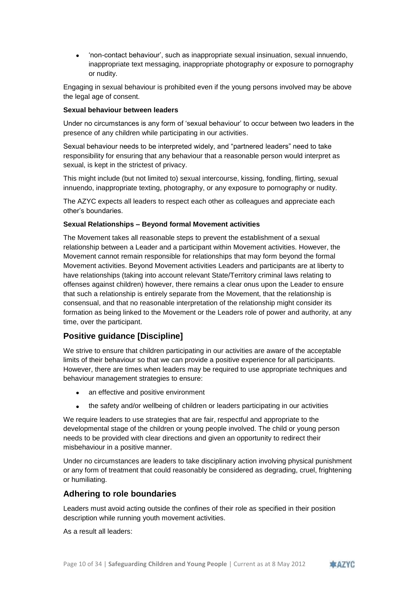'non-contact behaviour', such as inappropriate sexual insinuation, sexual innuendo, inappropriate text messaging, inappropriate photography or exposure to pornography or nudity.

Engaging in sexual behaviour is prohibited even if the young persons involved may be above the legal age of consent.

#### **Sexual behaviour between leaders**

Under no circumstances is any form of 'sexual behaviour' to occur between two leaders in the presence of any children while participating in our activities.

Sexual behaviour needs to be interpreted widely, and "partnered leaders" need to take responsibility for ensuring that any behaviour that a reasonable person would interpret as sexual, is kept in the strictest of privacy.

This might include (but not limited to) sexual intercourse, kissing, fondling, flirting, sexual innuendo, inappropriate texting, photography, or any exposure to pornography or nudity.

The AZYC expects all leaders to respect each other as colleagues and appreciate each other's boundaries.

#### **Sexual Relationships – Beyond formal Movement activities**

The Movement takes all reasonable steps to prevent the establishment of a sexual relationship between a Leader and a participant within Movement activities. However, the Movement cannot remain responsible for relationships that may form beyond the formal Movement activities. Beyond Movement activities Leaders and participants are at liberty to have relationships (taking into account relevant State/Territory criminal laws relating to offenses against children) however, there remains a clear onus upon the Leader to ensure that such a relationship is entirely separate from the Movement, that the relationship is consensual, and that no reasonable interpretation of the relationship might consider its formation as being linked to the Movement or the Leaders role of power and authority, at any time, over the participant.

# **Positive guidance [Discipline]**

We strive to ensure that children participating in our activities are aware of the acceptable limits of their behaviour so that we can provide a positive experience for all participants. However, there are times when leaders may be required to use appropriate techniques and behaviour management strategies to ensure:

- an effective and positive environment
- the safety and/or wellbeing of children or leaders participating in our activities

We require leaders to use strategies that are fair, respectful and appropriate to the developmental stage of the children or young people involved. The child or young person needs to be provided with clear directions and given an opportunity to redirect their misbehaviour in a positive manner.

Under no circumstances are leaders to take disciplinary action involving physical punishment or any form of treatment that could reasonably be considered as degrading, cruel, frightening or humiliating.

#### **Adhering to role boundaries**

Leaders must avoid acting outside the confines of their role as specified in their position description while running youth movement activities.

As a result all leaders:

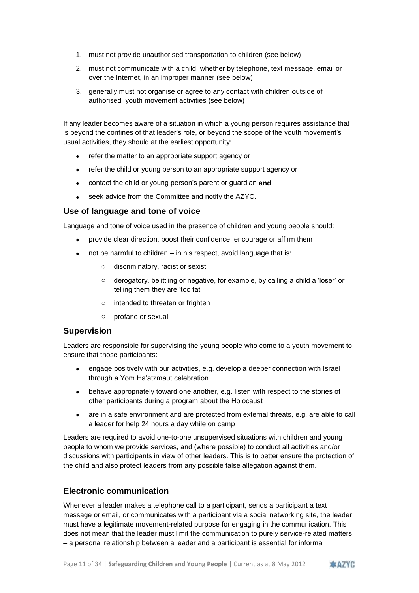- 1. must not provide unauthorised transportation to children (see below)
- 2. must not communicate with a child, whether by telephone, text message, email or over the Internet, in an improper manner (see below)
- 3. generally must not organise or agree to any contact with children outside of authorised youth movement activities (see below)

If any leader becomes aware of a situation in which a young person requires assistance that is beyond the confines of that leader's role, or beyond the scope of the youth movement's usual activities, they should at the earliest opportunity:

- refer the matter to an appropriate support agency or
- refer the child or young person to an appropriate support agency or
- contact the child or young person's parent or guardian **and**
- seek advice from the Committee and notify the AZYC.

### **Use of language and tone of voice**

Language and tone of voice used in the presence of children and young people should:

- provide clear direction, boost their confidence, encourage or affirm them
- not be harmful to children in his respect, avoid language that is:
	- o discriminatory, racist or sexist
	- o derogatory, belittling or negative, for example, by calling a child a 'loser' or telling them they are 'too fat'
	- o intended to threaten or frighten
	- o profane or sexual

#### **Supervision**

Leaders are responsible for supervising the young people who come to a youth movement to ensure that those participants:

- engage positively with our activities, e.g. develop a deeper connection with Israel through a Yom Ha'atzmaut celebration
- behave appropriately toward one another, e.g. listen with respect to the stories of other participants during a program about the Holocaust
- are in a safe environment and are protected from external threats, e.g. are able to call a leader for help 24 hours a day while on camp

Leaders are required to avoid one-to-one unsupervised situations with children and young people to whom we provide services, and (where possible) to conduct all activities and/or discussions with participants in view of other leaders. This is to better ensure the protection of the child and also protect leaders from any possible false allegation against them.

### **Electronic communication**

Whenever a leader makes a telephone call to a participant, sends a participant a text message or email, or communicates with a participant via a social networking site, the leader must have a legitimate movement-related purpose for engaging in the communication. This does not mean that the leader must limit the communication to purely service-related matters – a personal relationship between a leader and a participant is essential for informal

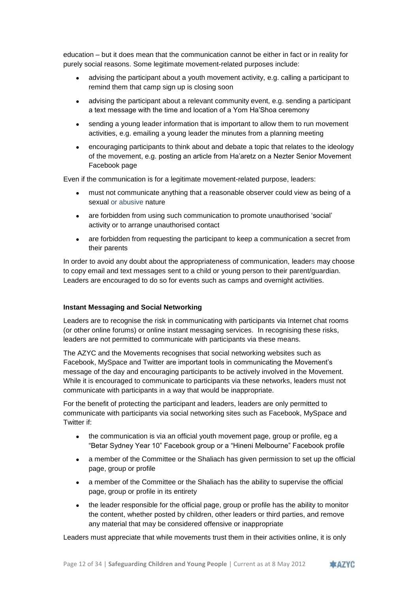education – but it does mean that the communication cannot be either in fact or in reality for purely social reasons. Some legitimate movement-related purposes include:

- advising the participant about a youth movement activity, e.g. calling a participant to remind them that camp sign up is closing soon
- advising the participant about a relevant community event, e.g. sending a participant a text message with the time and location of a Yom Ha'Shoa ceremony
- sending a young leader information that is important to allow them to run movement activities, e.g. emailing a young leader the minutes from a planning meeting
- encouraging participants to think about and debate a topic that relates to the ideology of the movement, e.g. posting an article from Ha'aretz on a Nezter Senior Movement Facebook page

Even if the communication is for a legitimate movement-related purpose, leaders:

- must not communicate anything that a reasonable observer could view as being of a sexual or abusive nature
- are forbidden from using such communication to promote unauthorised 'social' activity or to arrange unauthorised contact
- are forbidden from requesting the participant to keep a communication a secret from their parents

In order to avoid any doubt about the appropriateness of communication, leaders may choose to copy email and text messages sent to a child or young person to their parent/guardian. Leaders are encouraged to do so for events such as camps and overnight activities.

#### **Instant Messaging and Social Networking**

Leaders are to recognise the risk in communicating with participants via Internet chat rooms (or other online forums) or online instant messaging services. In recognising these risks, leaders are not permitted to communicate with participants via these means.

The AZYC and the Movements recognises that social networking websites such as Facebook, MySpace and Twitter are important tools in communicating the Movement's message of the day and encouraging participants to be actively involved in the Movement. While it is encouraged to communicate to participants via these networks, leaders must not communicate with participants in a way that would be inappropriate.

For the benefit of protecting the participant and leaders, leaders are only permitted to communicate with participants via social networking sites such as Facebook, MySpace and Twitter if:

- the communication is via an official youth movement page, group or profile, eg a "Betar Sydney Year 10" Facebook group or a "Hineni Melbourne" Facebook profile
- a member of the Committee or the Shaliach has given permission to set up the official page, group or profile
- a member of the Committee or the Shaliach has the ability to supervise the official page, group or profile in its entirety
- the leader responsible for the official page, group or profile has the ability to monitor the content, whether posted by children, other leaders or third parties, and remove any material that may be considered offensive or inappropriate

Leaders must appreciate that while movements trust them in their activities online, it is only

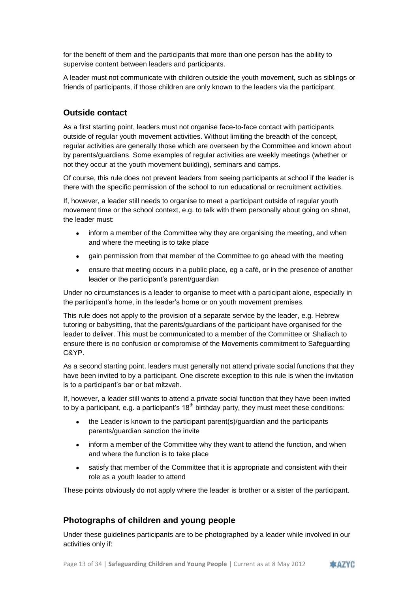for the benefit of them and the participants that more than one person has the ability to supervise content between leaders and participants.

A leader must not communicate with children outside the youth movement, such as siblings or friends of participants, if those children are only known to the leaders via the participant.

# **Outside contact**

As a first starting point, leaders must not organise face-to-face contact with participants outside of regular youth movement activities. Without limiting the breadth of the concept, regular activities are generally those which are overseen by the Committee and known about by parents/guardians. Some examples of regular activities are weekly meetings (whether or not they occur at the youth movement building), seminars and camps.

Of course, this rule does not prevent leaders from seeing participants at school if the leader is there with the specific permission of the school to run educational or recruitment activities.

If, however, a leader still needs to organise to meet a participant outside of regular youth movement time or the school context, e.g. to talk with them personally about going on shnat, the leader must:

- inform a member of the Committee why they are organising the meeting, and when and where the meeting is to take place
- gain permission from that member of the Committee to go ahead with the meeting
- ensure that meeting occurs in a public place, eg a café, or in the presence of another leader or the participant's parent/guardian

Under no circumstances is a leader to organise to meet with a participant alone, especially in the participant's home, in the leader's home or on youth movement premises.

This rule does not apply to the provision of a separate service by the leader, e.g. Hebrew tutoring or babysitting, that the parents/guardians of the participant have organised for the leader to deliver. This must be communicated to a member of the Committee or Shaliach to ensure there is no confusion or compromise of the Movements commitment to Safeguarding C&YP.

As a second starting point, leaders must generally not attend private social functions that they have been invited to by a participant. One discrete exception to this rule is when the invitation is to a participant's bar or bat mitzvah.

If, however, a leader still wants to attend a private social function that they have been invited to by a participant, e.g. a participant's  $18<sup>th</sup>$  birthday party, they must meet these conditions:

- the Leader is known to the participant parent(s)/guardian and the participants parents/guardian sanction the invite
- inform a member of the Committee why they want to attend the function, and when and where the function is to take place
- satisfy that member of the Committee that it is appropriate and consistent with their role as a youth leader to attend

These points obviously do not apply where the leader is brother or a sister of the participant.

# **Photographs of children and young people**

Under these guidelines participants are to be photographed by a leader while involved in our activities only if:

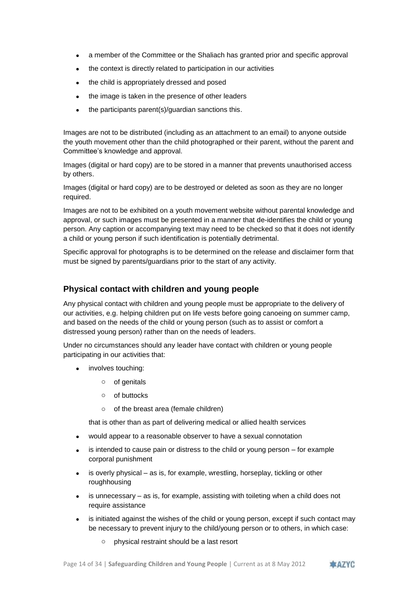- a member of the Committee or the Shaliach has granted prior and specific approval
- the context is directly related to participation in our activities
- the child is appropriately dressed and posed
- the image is taken in the presence of other leaders
- the participants parent(s)/guardian sanctions this.

Images are not to be distributed (including as an attachment to an email) to anyone outside the youth movement other than the child photographed or their parent, without the parent and Committee's knowledge and approval.

Images (digital or hard copy) are to be stored in a manner that prevents unauthorised access by others.

Images (digital or hard copy) are to be destroyed or deleted as soon as they are no longer required.

Images are not to be exhibited on a youth movement website without parental knowledge and approval, or such images must be presented in a manner that de-identifies the child or young person. Any caption or accompanying text may need to be checked so that it does not identify a child or young person if such identification is potentially detrimental.

Specific approval for photographs is to be determined on the release and disclaimer form that must be signed by parents/guardians prior to the start of any activity.

### **Physical contact with children and young people**

Any physical contact with children and young people must be appropriate to the delivery of our activities, e.g. helping children put on life vests before going canoeing on summer camp, and based on the needs of the child or young person (such as to assist or comfort a distressed young person) rather than on the needs of leaders.

Under no circumstances should any leader have contact with children or young people participating in our activities that:

- involves touching:
	- o of genitals
	- o of buttocks
	- o of the breast area (female children)

that is other than as part of delivering medical or allied health services

- would appear to a reasonable observer to have a sexual connotation
- is intended to cause pain or distress to the child or young person for example corporal punishment
- is overly physical as is, for example, wrestling, horseplay, tickling or other roughhousing
- is unnecessary as is, for example, assisting with toileting when a child does not require assistance
- is initiated against the wishes of the child or young person, except if such contact may be necessary to prevent injury to the child/young person or to others, in which case:
	- o physical restraint should be a last resort

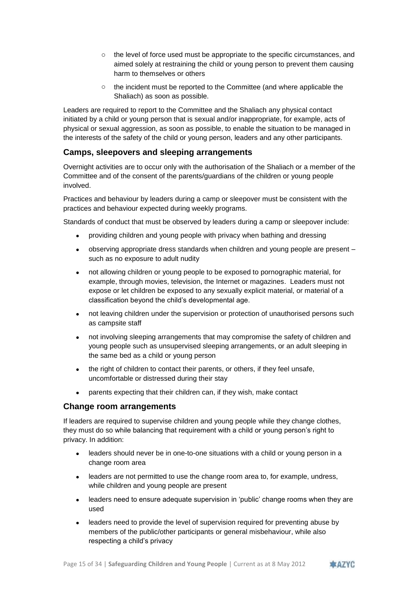- o the level of force used must be appropriate to the specific circumstances, and aimed solely at restraining the child or young person to prevent them causing harm to themselves or others
- o the incident must be reported to the Committee (and where applicable the Shaliach) as soon as possible.

Leaders are required to report to the Committee and the Shaliach any physical contact initiated by a child or young person that is sexual and/or inappropriate, for example, acts of physical or sexual aggression, as soon as possible, to enable the situation to be managed in the interests of the safety of the child or young person, leaders and any other participants.

# **Camps, sleepovers and sleeping arrangements**

Overnight activities are to occur only with the authorisation of the Shaliach or a member of the Committee and of the consent of the parents/guardians of the children or young people involved.

Practices and behaviour by leaders during a camp or sleepover must be consistent with the practices and behaviour expected during weekly programs.

Standards of conduct that must be observed by leaders during a camp or sleepover include:

- providing children and young people with privacy when bathing and dressing
- observing appropriate dress standards when children and young people are present such as no exposure to adult nudity
- not allowing children or young people to be exposed to pornographic material, for example, through movies, television, the Internet or magazines. Leaders must not expose or let children be exposed to any sexually explicit material, or material of a classification beyond the child's developmental age.
- not leaving children under the supervision or protection of unauthorised persons such as campsite staff
- not involving sleeping arrangements that may compromise the safety of children and young people such as unsupervised sleeping arrangements, or an adult sleeping in the same bed as a child or young person
- the right of children to contact their parents, or others, if they feel unsafe, uncomfortable or distressed during their stay
- parents expecting that their children can, if they wish, make contact

#### **Change room arrangements**

If leaders are required to supervise children and young people while they change clothes, they must do so while balancing that requirement with a child or young person's right to privacy. In addition:

- leaders should never be in one-to-one situations with a child or young person in a change room area
- leaders are not permitted to use the change room area to, for example, undress, while children and young people are present
- leaders need to ensure adequate supervision in 'public' change rooms when they are used
- leaders need to provide the level of supervision required for preventing abuse by members of the public/other participants or general misbehaviour, while also respecting a child's privacy

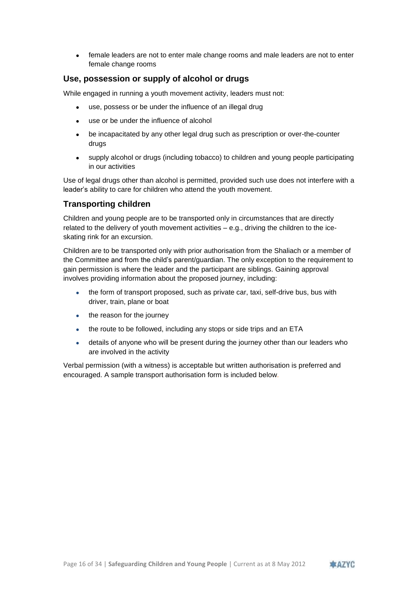female leaders are not to enter male change rooms and male leaders are not to enter female change rooms

# **Use, possession or supply of alcohol or drugs**

While engaged in running a youth movement activity, leaders must not:

- use, possess or be under the influence of an illegal drug
- use or be under the influence of alcohol
- be incapacitated by any other legal drug such as prescription or over-the-counter drugs
- supply alcohol or drugs (including tobacco) to children and young people participating in our activities

Use of legal drugs other than alcohol is permitted, provided such use does not interfere with a leader's ability to care for children who attend the youth movement.

# **Transporting children**

Children and young people are to be transported only in circumstances that are directly related to the delivery of youth movement activities – e.g., driving the children to the iceskating rink for an excursion.

Children are to be transported only with prior authorisation from the Shaliach or a member of the Committee and from the child's parent/guardian. The only exception to the requirement to gain permission is where the leader and the participant are siblings. Gaining approval involves providing information about the proposed journey, including:

- the form of transport proposed, such as private car, taxi, self-drive bus, bus with driver, train, plane or boat
- the reason for the journey
- the route to be followed, including any stops or side trips and an ETA
- details of anyone who will be present during the journey other than our leaders who are involved in the activity

Verbal permission (with a witness) is acceptable but written authorisation is preferred and encouraged. A sample transport authorisation form is included below*.*

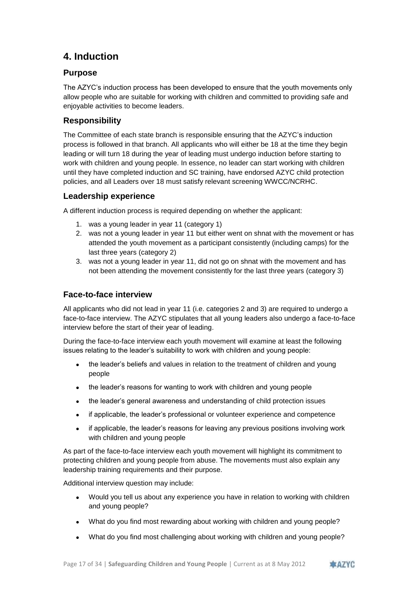# <span id="page-16-0"></span>**4. Induction**

# **Purpose**

The AZYC's induction process has been developed to ensure that the youth movements only allow people who are suitable for working with children and committed to providing safe and enjoyable activities to become leaders.

# **Responsibility**

The Committee of each state branch is responsible ensuring that the AZYC's induction process is followed in that branch. All applicants who will either be 18 at the time they begin leading or will turn 18 during the year of leading must undergo induction before starting to work with children and young people. In essence, no leader can start working with children until they have completed induction and SC training, have endorsed AZYC child protection policies, and all Leaders over 18 must satisfy relevant screening WWCC/NCRHC.

# **Leadership experience**

A different induction process is required depending on whether the applicant:

- 1. was a young leader in year 11 (category 1)
- 2. was not a young leader in year 11 but either went on shnat with the movement or has attended the youth movement as a participant consistently (including camps) for the last three years (category 2)
- 3. was not a young leader in year 11, did not go on shnat with the movement and has not been attending the movement consistently for the last three years (category 3)

# **Face-to-face interview**

All applicants who did not lead in year 11 (i.e. categories 2 and 3) are required to undergo a face-to-face interview. The AZYC stipulates that all young leaders also undergo a face-to-face interview before the start of their year of leading.

During the face-to-face interview each youth movement will examine at least the following issues relating to the leader's suitability to work with children and young people:

- the leader's beliefs and values in relation to the treatment of children and young people
- the leader's reasons for wanting to work with children and young people
- the leader's general awareness and understanding of child protection issues
- if applicable, the leader's professional or volunteer experience and competence
- if applicable, the leader's reasons for leaving any previous positions involving work with children and young people

As part of the face-to-face interview each youth movement will highlight its commitment to protecting children and young people from abuse. The movements must also explain any leadership training requirements and their purpose.

Additional interview question may include:

- Would you tell us about any experience you have in relation to working with children and young people?
- What do you find most rewarding about working with children and young people?
- What do you find most challenging about working with children and young people?

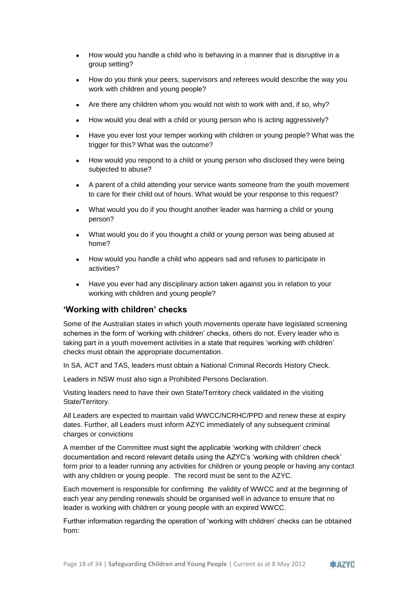- How would you handle a child who is behaving in a manner that is disruptive in a group setting?
- How do you think your peers, supervisors and referees would describe the way you work with children and young people?
- Are there any children whom you would not wish to work with and, if so, why?
- How would you deal with a child or young person who is acting aggressively?
- Have you ever lost your temper working with children or young people? What was the trigger for this? What was the outcome?
- How would you respond to a child or young person who disclosed they were being subjected to abuse?
- A parent of a child attending your service wants someone from the youth movement to care for their child out of hours. What would be your response to this request?
- What would you do if you thought another leader was harming a child or young person?
- What would you do if you thought a child or young person was being abused at home?
- How would you handle a child who appears sad and refuses to participate in activities?
- Have you ever had any disciplinary action taken against you in relation to your working with children and young people?

### **'Working with children' checks**

Some of the Australian states in which youth movements operate have legislated screening schemes in the form of 'working with children' checks, others do not. Every leader who is taking part in a youth movement activities in a state that requires 'working with children' checks must obtain the appropriate documentation.

In SA, ACT and TAS, leaders must obtain a National Criminal Records History Check.

Leaders in NSW must also sign a Prohibited Persons Declaration.

Visiting leaders need to have their own State/Territory check validated in the visiting State/Territory.

All Leaders are expected to maintain valid WWCC/NCRHC/PPD and renew these at expiry dates. Further, all Leaders must inform AZYC immediately of any subsequent criminal charges or convictions

A member of the Committee must sight the applicable 'working with children' check documentation and record relevant details using the AZYC's 'working with children check' form prior to a leader running any activities for children or young people or having any contact with any children or young people. The record must be sent to the AZYC.

Each movement is responsible for confirming the validity of WWCC and at the beginning of each year any pending renewals should be organised well in advance to ensure that no leader is working with children or young people with an expired WWCC.

Further information regarding the operation of 'working with children' checks can be obtained from:

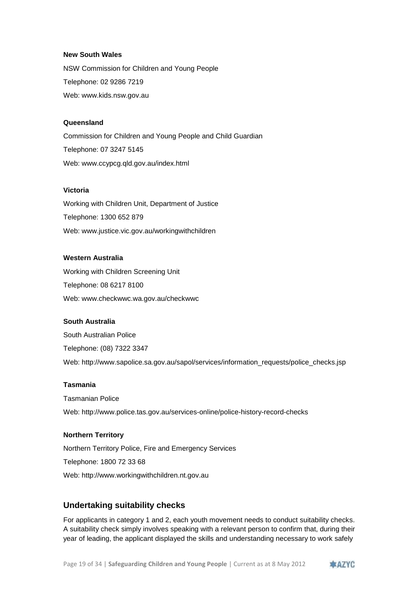#### **New South Wales**

NSW Commission for Children and Young People Telephone: 02 9286 7219 Web: www.kids.nsw.gov.au

#### **Queensland**

Commission for Children and Young People and Child Guardian Telephone: 07 3247 5145 Web: www.ccypcg.qld.gov.au/index.html

### **Victoria**

Working with Children Unit, Department of Justice Telephone: 1300 652 879 Web: www.justice.vic.gov.au/workingwithchildren

#### **Western Australia**

Working with Children Screening Unit Telephone: 08 6217 8100 Web: www.checkwwc.wa.gov.au/checkwwc

#### **South Australia**

South Australian Police Telephone: (08) 7322 3347 Web: http://www.sapolice.sa.gov.au/sapol/services/information\_requests/police\_checks.jsp

#### **Tasmania**

Tasmanian Police Web: http://www.police.tas.gov.au/services-online/police-history-record-checks

#### **Northern Territory**

Northern Territory Police, Fire and Emergency Services Telephone: 1800 72 33 68 Web: http://www.workingwithchildren.nt.gov.au

# **Undertaking suitability checks**

For applicants in category 1 and 2, each youth movement needs to conduct suitability checks. A suitability check simply involves speaking with a relevant person to confirm that, during their year of leading, the applicant displayed the skills and understanding necessary to work safely

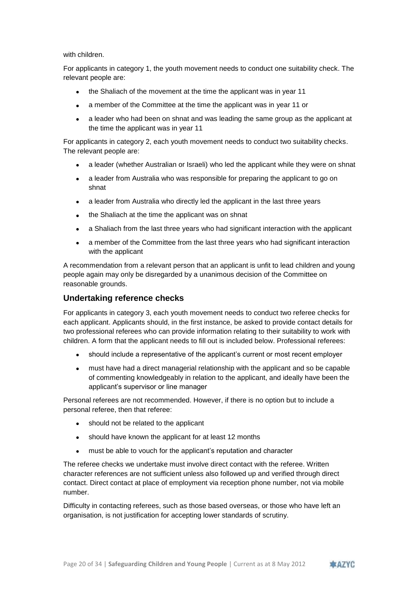with children.

For applicants in category 1, the youth movement needs to conduct one suitability check. The relevant people are:

- the Shaliach of the movement at the time the applicant was in year 11
- a member of the Committee at the time the applicant was in year 11 or
- a leader who had been on shnat and was leading the same group as the applicant at the time the applicant was in year 11

For applicants in category 2, each youth movement needs to conduct two suitability checks. The relevant people are:

- a leader (whether Australian or Israeli) who led the applicant while they were on shnat
- a leader from Australia who was responsible for preparing the applicant to go on shnat
- a leader from Australia who directly led the applicant in the last three years
- the Shaliach at the time the applicant was on shnat
- a Shaliach from the last three years who had significant interaction with the applicant
- a member of the Committee from the last three years who had significant interaction with the applicant

A recommendation from a relevant person that an applicant is unfit to lead children and young people again may only be disregarded by a unanimous decision of the Committee on reasonable grounds.

### **Undertaking reference checks**

For applicants in category 3, each youth movement needs to conduct two referee checks for each applicant. Applicants should, in the first instance, be asked to provide contact details for two professional referees who can provide information relating to their suitability to work with children. A form that the applicant needs to fill out is included below. Professional referees:

- should include a representative of the applicant's current or most recent employer
- must have had a direct managerial relationship with the applicant and so be capable of commenting knowledgeably in relation to the applicant, and ideally have been the applicant's supervisor or line manager

Personal referees are not recommended. However, if there is no option but to include a personal referee, then that referee:

- should not be related to the applicant
- should have known the applicant for at least 12 months
- must be able to vouch for the applicant's reputation and character

The referee checks we undertake must involve direct contact with the referee. Written character references are not sufficient unless also followed up and verified through direct contact. Direct contact at place of employment via reception phone number, not via mobile number.

Difficulty in contacting referees, such as those based overseas, or those who have left an organisation, is not justification for accepting lower standards of scrutiny.

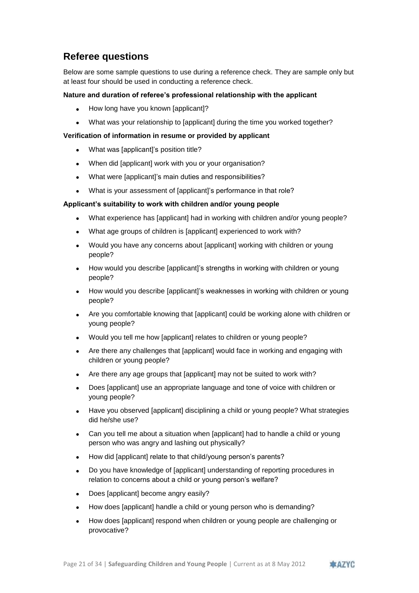# **Referee questions**

Below are some sample questions to use during a reference check. They are sample only but at least four should be used in conducting a reference check.

#### **Nature and duration of referee's professional relationship with the applicant**

- How long have you known [applicant]?
- What was your relationship to [applicant] during the time you worked together?

#### **Verification of information in resume or provided by applicant**

- What was [applicant]'s position title?
- When did [applicant] work with you or your organisation?
- What were [applicant]'s main duties and responsibilities?
- What is your assessment of [applicant]'s performance in that role?

#### **Applicant's suitability to work with children and/or young people**

- What experience has [applicant] had in working with children and/or young people?
- What age groups of children is [applicant] experienced to work with?
- Would you have any concerns about [applicant] working with children or young people?
- How would you describe [applicant]'s strengths in working with children or young people?
- How would you describe [applicant]'s weaknesses in working with children or young people?
- Are you comfortable knowing that [applicant] could be working alone with children or young people?
- Would you tell me how [applicant] relates to children or young people?
- Are there any challenges that [applicant] would face in working and engaging with children or young people?
- Are there any age groups that [applicant] may not be suited to work with?
- Does [applicant] use an appropriate language and tone of voice with children or young people?
- Have you observed [applicant] disciplining a child or young people? What strategies did he/she use?
- Can you tell me about a situation when [applicant] had to handle a child or young person who was angry and lashing out physically?
- How did [applicant] relate to that child/young person's parents?
- Do you have knowledge of [applicant] understanding of reporting procedures in relation to concerns about a child or young person's welfare?
- Does [applicant] become angry easily?
- How does [applicant] handle a child or young person who is demanding?
- How does [applicant] respond when children or young people are challenging or provocative?

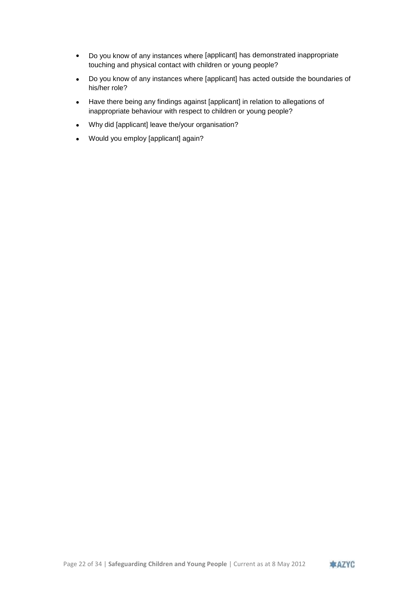- Do you know of any instances where [applicant] has demonstrated inappropriate touching and physical contact with children or young people?
- Do you know of any instances where [applicant] has acted outside the boundaries of his/her role?
- Have there being any findings against [applicant] in relation to allegations of inappropriate behaviour with respect to children or young people?
- Why did [applicant] leave the/your organisation?
- Would you employ [applicant] again?

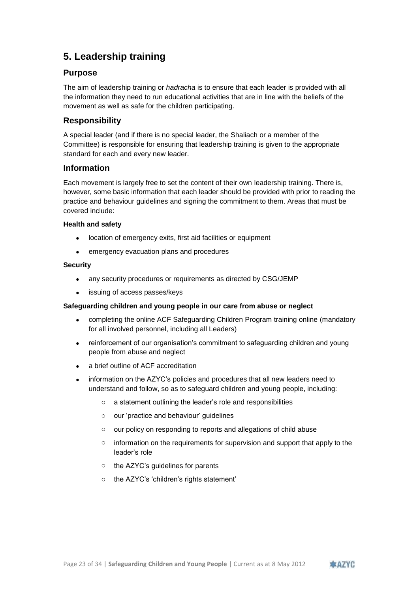# <span id="page-22-0"></span>**5. Leadership training**

# **Purpose**

The aim of leadership training or *hadracha* is to ensure that each leader is provided with all the information they need to run educational activities that are in line with the beliefs of the movement as well as safe for the children participating.

# **Responsibility**

A special leader (and if there is no special leader, the Shaliach or a member of the Committee) is responsible for ensuring that leadership training is given to the appropriate standard for each and every new leader.

# **Information**

Each movement is largely free to set the content of their own leadership training. There is, however, some basic information that each leader should be provided with prior to reading the practice and behaviour guidelines and signing the commitment to them. Areas that must be covered include:

#### **Health and safety**

- location of emergency exits, first aid facilities or equipment
- emergency evacuation plans and procedures

### **Security**

- any security procedures or requirements as directed by CSG/JEMP
- issuing of access passes/keys

#### **Safeguarding children and young people in our care from abuse or neglect**

- completing the online ACF Safeguarding Children Program training online (mandatory for all involved personnel, including all Leaders)
- reinforcement of our organisation's commitment to safeguarding children and young people from abuse and neglect
- a brief outline of ACF accreditation
- information on the AZYC's policies and procedures that all new leaders need to understand and follow, so as to safeguard children and young people, including:
	- o a statement outlining the leader's role and responsibilities
	- o our 'practice and behaviour' guidelines
	- o our policy on responding to reports and allegations of child abuse
	- o information on the requirements for supervision and support that apply to the leader's role
	- o the AZYC's guidelines for parents
	- o the AZYC's 'children's rights statement'

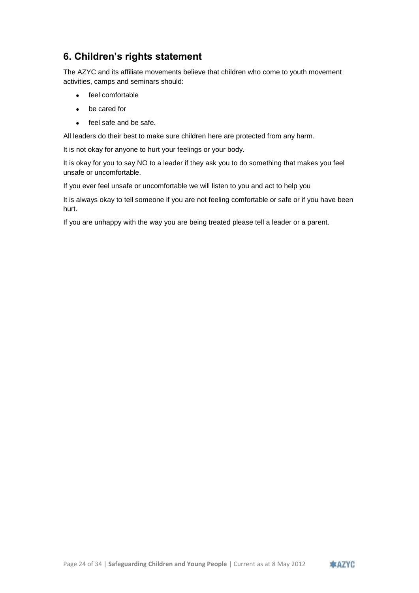# <span id="page-23-0"></span>**6. Children's rights statement**

The AZYC and its affiliate movements believe that children who come to youth movement activities, camps and seminars should:

- feel comfortable
- be cared for
- feel safe and be safe.

All leaders do their best to make sure children here are protected from any harm.

It is not okay for anyone to hurt your feelings or your body.

It is okay for you to say NO to a leader if they ask you to do something that makes you feel unsafe or uncomfortable.

If you ever feel unsafe or uncomfortable we will listen to you and act to help you

It is always okay to tell someone if you are not feeling comfortable or safe or if you have been hurt.

If you are unhappy with the way you are being treated please tell a leader or a parent.

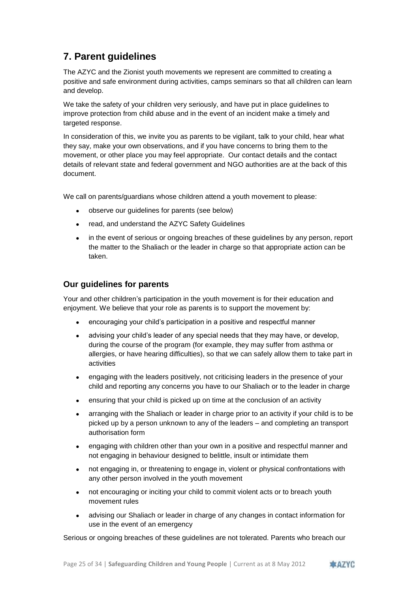# <span id="page-24-0"></span>**7. Parent guidelines**

The AZYC and the Zionist youth movements we represent are committed to creating a positive and safe environment during activities, camps seminars so that all children can learn and develop.

We take the safety of your children very seriously, and have put in place guidelines to improve protection from child abuse and in the event of an incident make a timely and targeted response.

In consideration of this, we invite you as parents to be vigilant, talk to your child, hear what they say, make your own observations, and if you have concerns to bring them to the movement, or other place you may feel appropriate. Our contact details and the contact details of relevant state and federal government and NGO authorities are at the back of this document.

We call on parents/guardians whose children attend a youth movement to please:

- observe our guidelines for parents (see below)
- read, and understand the AZYC Safety Guidelines
- in the event of serious or ongoing breaches of these guidelines by any person, report the matter to the Shaliach or the leader in charge so that appropriate action can be taken.

### **Our guidelines for parents**

Your and other children's participation in the youth movement is for their education and enjoyment. We believe that your role as parents is to support the movement by:

- encouraging your child's participation in a positive and respectful manner
- advising your child's leader of any special needs that they may have, or develop, during the course of the program (for example, they may suffer from asthma or allergies, or have hearing difficulties), so that we can safely allow them to take part in activities
- engaging with the leaders positively, not criticising leaders in the presence of your child and reporting any concerns you have to our Shaliach or to the leader in charge
- ensuring that your child is picked up on time at the conclusion of an activity
- arranging with the Shaliach or leader in charge prior to an activity if your child is to be picked up by a person unknown to any of the leaders – and completing an transport authorisation form
- engaging with children other than your own in a positive and respectful manner and not engaging in behaviour designed to belittle, insult or intimidate them
- not engaging in, or threatening to engage in, violent or physical confrontations with any other person involved in the youth movement
- not encouraging or inciting your child to commit violent acts or to breach youth movement rules
- advising our Shaliach or leader in charge of any changes in contact information for use in the event of an emergency

Serious or ongoing breaches of these guidelines are not tolerated. Parents who breach our

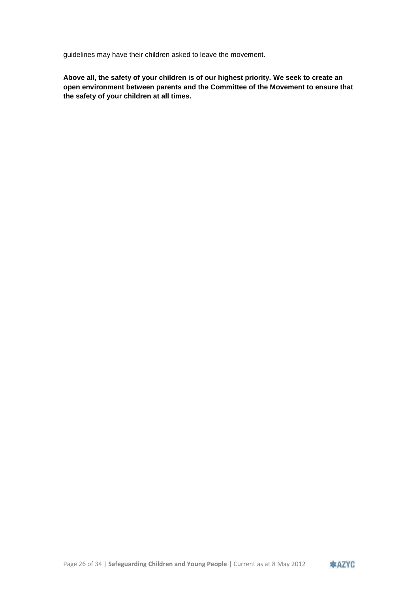guidelines may have their children asked to leave the movement.

**Above all, the safety of your children is of our highest priority. We seek to create an open environment between parents and the Committee of the Movement to ensure that the safety of your children at all times.**

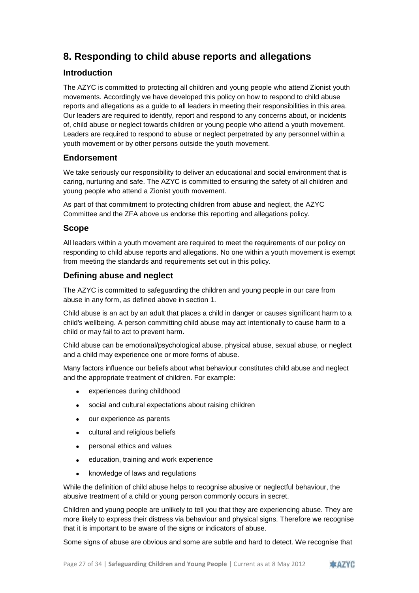# <span id="page-26-0"></span>**8. Responding to child abuse reports and allegations**

# **Introduction**

The AZYC is committed to protecting all children and young people who attend Zionist youth movements. Accordingly we have developed this policy on how to respond to child abuse reports and allegations as a guide to all leaders in meeting their responsibilities in this area. Our leaders are required to identify, report and respond to any concerns about, or incidents of, child abuse or neglect towards children or young people who attend a youth movement. Leaders are required to respond to abuse or neglect perpetrated by any personnel within a youth movement or by other persons outside the youth movement.

### **Endorsement**

We take seriously our responsibility to deliver an educational and social environment that is caring, nurturing and safe. The AZYC is committed to ensuring the safety of all children and young people who attend a Zionist youth movement.

As part of that commitment to protecting children from abuse and neglect, the AZYC Committee and the ZFA above us endorse this reporting and allegations policy.

### **Scope**

All leaders within a youth movement are required to meet the requirements of our policy on responding to child abuse reports and allegations. No one within a youth movement is exempt from meeting the standards and requirements set out in this policy.

# **Defining abuse and neglect**

The AZYC is committed to safeguarding the children and young people in our care from abuse in any form, as defined above in section 1.

Child abuse is an act by an adult that places a child in danger or causes significant harm to a child's wellbeing. A person committing child abuse may act intentionally to cause harm to a child or may fail to act to prevent harm.

Child abuse can be emotional/psychological abuse, physical abuse, sexual abuse, or neglect and a child may experience one or more forms of abuse.

Many factors influence our beliefs about what behaviour constitutes child abuse and neglect and the appropriate treatment of children. For example:

- experiences during childhood
- social and cultural expectations about raising children
- our experience as parents
- cultural and religious beliefs
- personal ethics and values
- education, training and work experience
- knowledge of laws and regulations

While the definition of child abuse helps to recognise abusive or neglectful behaviour, the abusive treatment of a child or young person commonly occurs in secret.

Children and young people are unlikely to tell you that they are experiencing abuse. They are more likely to express their distress via behaviour and physical signs. Therefore we recognise that it is important to be aware of the signs or indicators of abuse.

Some signs of abuse are obvious and some are subtle and hard to detect. We recognise that

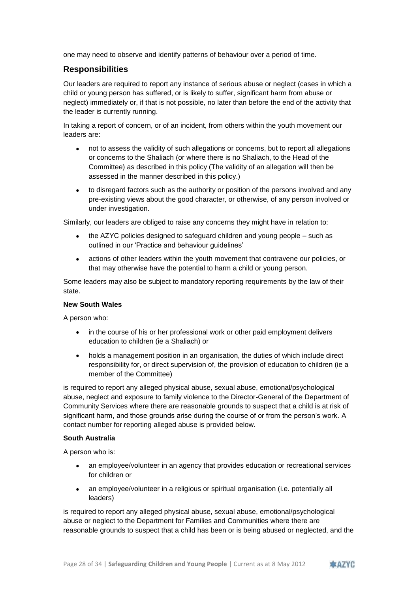one may need to observe and identify patterns of behaviour over a period of time.

# **Responsibilities**

Our leaders are required to report any instance of serious abuse or neglect (cases in which a child or young person has suffered, or is likely to suffer, significant harm from abuse or neglect) immediately or, if that is not possible, no later than before the end of the activity that the leader is currently running.

In taking a report of concern, or of an incident, from others within the youth movement our leaders are:

- not to assess the validity of such allegations or concerns, but to report all allegations or concerns to the Shaliach (or where there is no Shaliach, to the Head of the Committee) as described in this policy (The validity of an allegation will then be assessed in the manner described in this policy.)
- to disregard factors such as the authority or position of the persons involved and any pre-existing views about the good character, or otherwise, of any person involved or under investigation.

Similarly, our leaders are obliged to raise any concerns they might have in relation to:

- the AZYC policies designed to safeguard children and young people such as outlined in our 'Practice and behaviour guidelines'
- actions of other leaders within the youth movement that contravene our policies, or that may otherwise have the potential to harm a child or young person.

Some leaders may also be subject to mandatory reporting requirements by the law of their state.

#### **New South Wales**

A person who:

- in the course of his or her professional work or other paid employment delivers education to children (ie a Shaliach) or
- holds a management position in an organisation, the duties of which include direct responsibility for, or direct supervision of, the provision of education to children (ie a member of the Committee)

is required to report any alleged physical abuse, sexual abuse, emotional/psychological abuse, neglect and exposure to family violence to the Director-General of the Department of Community Services where there are reasonable grounds to suspect that a child is at risk of significant harm, and those grounds arise during the course of or from the person's work. A contact number for reporting alleged abuse is provided below.

#### **South Australia**

A person who is:

- an employee/volunteer in an agency that provides education or recreational services for children or
- an employee/volunteer in a religious or spiritual organisation (i.e. potentially all leaders)

is required to report any alleged physical abuse, sexual abuse, emotional/psychological abuse or neglect to the Department for Families and Communities where there are reasonable grounds to suspect that a child has been or is being abused or neglected, and the

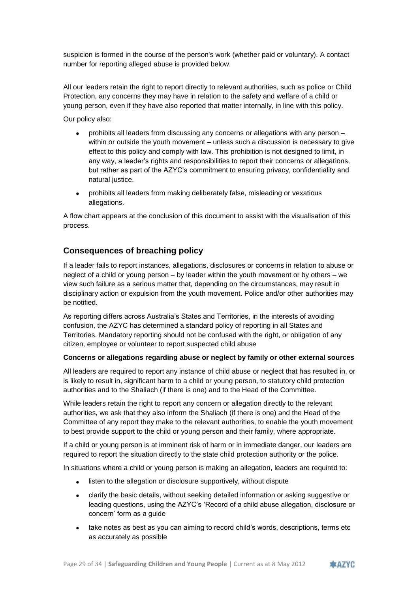suspicion is formed in the course of the person's work (whether paid or voluntary). A contact number for reporting alleged abuse is provided below.

All our leaders retain the right to report directly to relevant authorities, such as police or Child Protection, any concerns they may have in relation to the safety and welfare of a child or young person, even if they have also reported that matter internally, in line with this policy.

Our policy also:

- prohibits all leaders from discussing any concerns or allegations with any person within or outside the youth movement – unless such a discussion is necessary to give effect to this policy and comply with law. This prohibition is not designed to limit, in any way, a leader's rights and responsibilities to report their concerns or allegations, but rather as part of the AZYC's commitment to ensuring privacy, confidentiality and natural justice.
- prohibits all leaders from making deliberately false, misleading or vexatious allegations.

A flow chart appears at the conclusion of this document to assist with the visualisation of this process.

### **Consequences of breaching policy**

If a leader fails to report instances, allegations, disclosures or concerns in relation to abuse or neglect of a child or young person – by leader within the youth movement or by others – we view such failure as a serious matter that, depending on the circumstances, may result in disciplinary action or expulsion from the youth movement. Police and/or other authorities may be notified.

As reporting differs across Australia's States and Territories, in the interests of avoiding confusion, the AZYC has determined a standard policy of reporting in all States and Territories. Mandatory reporting should not be confused with the right, or obligation of any citizen, employee or volunteer to report suspected child abuse

#### **Concerns or allegations regarding abuse or neglect by family or other external sources**

All leaders are required to report any instance of child abuse or neglect that has resulted in, or is likely to result in, significant harm to a child or young person, to statutory child protection authorities and to the Shaliach (if there is one) and to the Head of the Committee.

While leaders retain the right to report any concern or allegation directly to the relevant authorities, we ask that they also inform the Shaliach (if there is one) and the Head of the Committee of any report they make to the relevant authorities, to enable the youth movement to best provide support to the child or young person and their family, where appropriate.

If a child or young person is at imminent risk of harm or in immediate danger, our leaders are required to report the situation directly to the state child protection authority or the police.

In situations where a child or young person is making an allegation, leaders are required to:

- listen to the allegation or disclosure supportively, without dispute
- clarify the basic details, without seeking detailed information or asking suggestive or leading questions, using the AZYC's 'Record of a child abuse allegation, disclosure or concern' form as a quide
- take notes as best as you can aiming to record child's words, descriptions, terms etc as accurately as possible

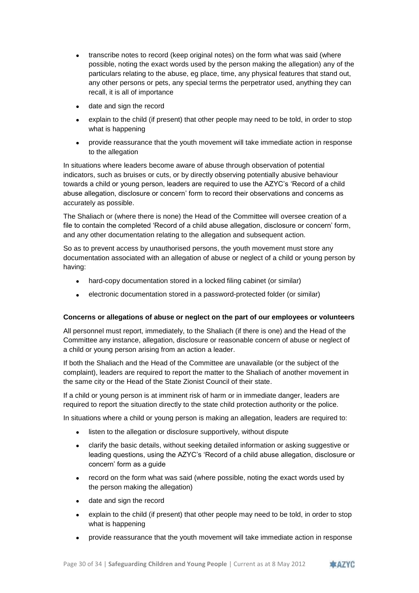- transcribe notes to record (keep original notes) on the form what was said (where possible, noting the exact words used by the person making the allegation) any of the particulars relating to the abuse, eg place, time, any physical features that stand out, any other persons or pets, any special terms the perpetrator used, anything they can recall, it is all of importance
- date and sign the record
- explain to the child (if present) that other people may need to be told, in order to stop what is happening
- provide reassurance that the youth movement will take immediate action in response to the allegation

In situations where leaders become aware of abuse through observation of potential indicators, such as bruises or cuts, or by directly observing potentially abusive behaviour towards a child or young person, leaders are required to use the AZYC's 'Record of a child abuse allegation, disclosure or concern' form to record their observations and concerns as accurately as possible.

The Shaliach or (where there is none) the Head of the Committee will oversee creation of a file to contain the completed 'Record of a child abuse allegation, disclosure or concern' form, and any other documentation relating to the allegation and subsequent action.

So as to prevent access by unauthorised persons, the youth movement must store any documentation associated with an allegation of abuse or neglect of a child or young person by having:

- hard-copy documentation stored in a locked filing cabinet (or similar)
- electronic documentation stored in a password-protected folder (or similar)

### **Concerns or allegations of abuse or neglect on the part of our employees or volunteers**

All personnel must report, immediately, to the Shaliach (if there is one) and the Head of the Committee any instance, allegation, disclosure or reasonable concern of abuse or neglect of a child or young person arising from an action a leader.

If both the Shaliach and the Head of the Committee are unavailable (or the subject of the complaint), leaders are required to report the matter to the Shaliach of another movement in the same city or the Head of the State Zionist Council of their state.

If a child or young person is at imminent risk of harm or in immediate danger, leaders are required to report the situation directly to the state child protection authority or the police.

In situations where a child or young person is making an allegation, leaders are required to:

- listen to the allegation or disclosure supportively, without dispute
- clarify the basic details, without seeking detailed information or asking suggestive or leading questions, using the AZYC's 'Record of a child abuse allegation, disclosure or concern' form as a guide
- record on the form what was said (where possible, noting the exact words used by the person making the allegation)
- date and sign the record
- explain to the child (if present) that other people may need to be told, in order to stop what is happening
- provide reassurance that the youth movement will take immediate action in response

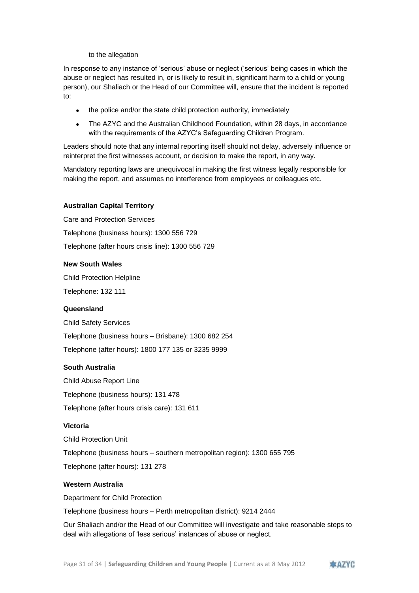to the allegation

In response to any instance of 'serious' abuse or neglect ('serious' being cases in which the abuse or neglect has resulted in, or is likely to result in, significant harm to a child or young person), our Shaliach or the Head of our Committee will, ensure that the incident is reported to:

- the police and/or the state child protection authority, immediately
- The AZYC and the Australian Childhood Foundation, within 28 days, in accordance with the requirements of the AZYC's Safeguarding Children Program.

Leaders should note that any internal reporting itself should not delay, adversely influence or reinterpret the first witnesses account, or decision to make the report, in any way.

Mandatory reporting laws are unequivocal in making the first witness legally responsible for making the report, and assumes no interference from employees or colleagues etc.

#### **Australian Capital Territory**

Care and Protection Services Telephone (business hours): 1300 556 729 Telephone (after hours crisis line): 1300 556 729

#### **New South Wales**

Child Protection Helpline Telephone: 132 111

#### **Queensland**

Child Safety Services

Telephone (business hours – Brisbane): 1300 682 254

Telephone (after hours): 1800 177 135 or 3235 9999

#### **South Australia**

Child Abuse Report Line Telephone (business hours): 131 478 Telephone (after hours crisis care): 131 611

#### **Victoria**

Child Protection Unit Telephone (business hours – southern metropolitan region): 1300 655 795 Telephone (after hours): 131 278

#### **Western Australia**

Department for Child Protection

Telephone (business hours – Perth metropolitan district): 9214 2444

Our Shaliach and/or the Head of our Committee will investigate and take reasonable steps to deal with allegations of 'less serious' instances of abuse or neglect.

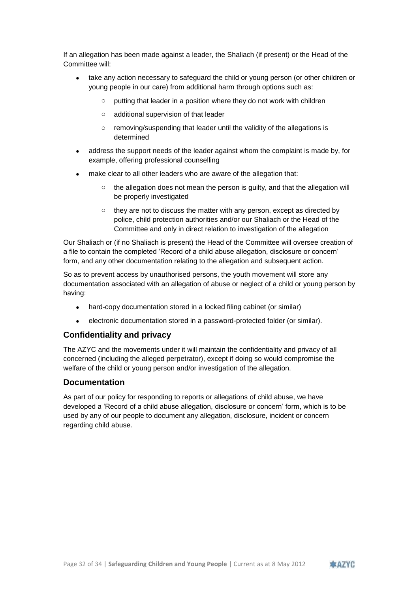If an allegation has been made against a leader, the Shaliach (if present) or the Head of the Committee will:

- take any action necessary to safeguard the child or young person (or other children or young people in our care) from additional harm through options such as:
	- o putting that leader in a position where they do not work with children
	- o additional supervision of that leader
	- o removing/suspending that leader until the validity of the allegations is determined
- address the support needs of the leader against whom the complaint is made by, for example, offering professional counselling
- make clear to all other leaders who are aware of the allegation that:
	- $\circ$  the allegation does not mean the person is guilty, and that the allegation will be properly investigated
	- o they are not to discuss the matter with any person, except as directed by police, child protection authorities and/or our Shaliach or the Head of the Committee and only in direct relation to investigation of the allegation

Our Shaliach or (if no Shaliach is present) the Head of the Committee will oversee creation of a file to contain the completed 'Record of a child abuse allegation, disclosure or concern' form, and any other documentation relating to the allegation and subsequent action.

So as to prevent access by unauthorised persons, the youth movement will store any documentation associated with an allegation of abuse or neglect of a child or young person by having:

- hard-copy documentation stored in a locked filing cabinet (or similar)
- electronic documentation stored in a password-protected folder (or similar).

### **Confidentiality and privacy**

The AZYC and the movements under it will maintain the confidentiality and privacy of all concerned (including the alleged perpetrator), except if doing so would compromise the welfare of the child or young person and/or investigation of the allegation.

#### **Documentation**

As part of our policy for responding to reports or allegations of child abuse, we have developed a 'Record of a child abuse allegation, disclosure or concern' form, which is to be used by any of our people to document any allegation, disclosure, incident or concern regarding child abuse.

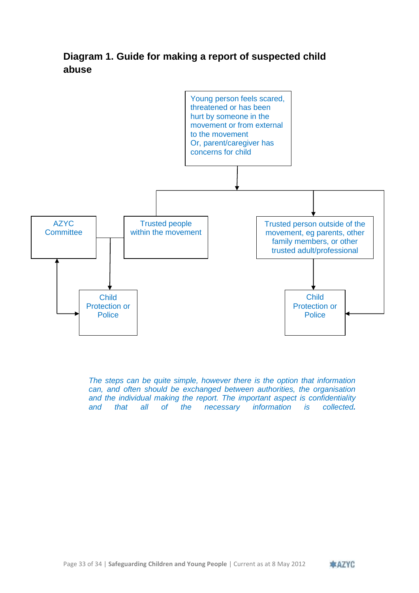# <span id="page-32-0"></span>**Diagram 1. Guide for making a report of suspected child abuse**



*The steps can be quite simple, however there is the option that information can, and often should be exchanged between authorities, the organisation and the individual making the report. The important aspect is confidentiality and that all of the necessary information is collected.*